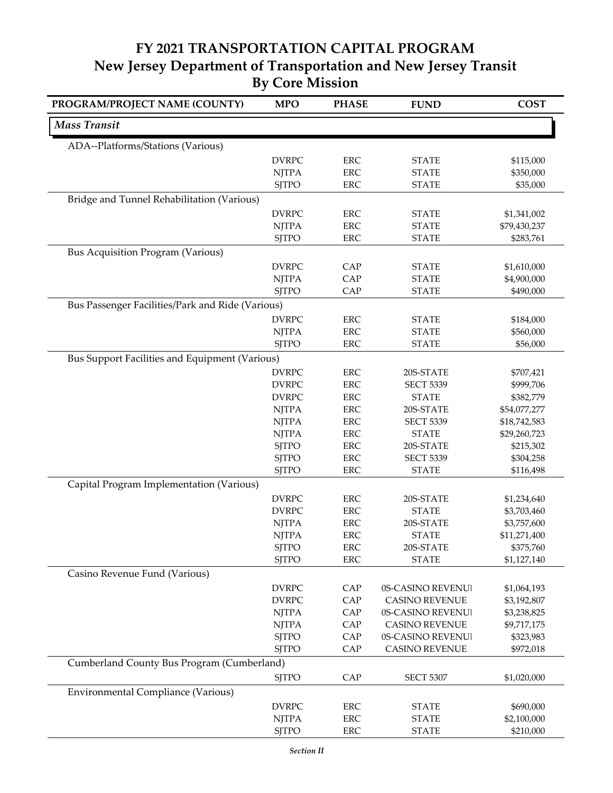## **FY 2021 TRANSPORTATION CAPITAL PROGRAM New Jersey Department of Transportation and New Jersey Transit By Core Mission**

| PROGRAM/PROJECT NAME (COUNTY)                    | <b>MPO</b>   | <b>PHASE</b> | <b>FUND</b>                                | <b>COST</b>  |
|--------------------------------------------------|--------------|--------------|--------------------------------------------|--------------|
| <b>Mass Transit</b>                              |              |              |                                            |              |
| ADA--Platforms/Stations (Various)                |              |              |                                            |              |
|                                                  | <b>DVRPC</b> | ERC          | <b>STATE</b>                               | \$115,000    |
|                                                  | <b>NJTPA</b> | <b>ERC</b>   | <b>STATE</b>                               | \$350,000    |
|                                                  | <b>SJTPO</b> | <b>ERC</b>   | <b>STATE</b>                               | \$35,000     |
| Bridge and Tunnel Rehabilitation (Various)       |              |              |                                            |              |
|                                                  | <b>DVRPC</b> | <b>ERC</b>   | <b>STATE</b>                               | \$1,341,002  |
|                                                  | <b>NJTPA</b> | <b>ERC</b>   | <b>STATE</b>                               | \$79,430,237 |
|                                                  | <b>SJTPO</b> | <b>ERC</b>   | <b>STATE</b>                               | \$283,761    |
| <b>Bus Acquisition Program (Various)</b>         |              |              |                                            |              |
|                                                  | <b>DVRPC</b> | CAP          | <b>STATE</b>                               | \$1,610,000  |
|                                                  | <b>NJTPA</b> | CAP          | <b>STATE</b>                               | \$4,900,000  |
|                                                  | <b>SJTPO</b> | CAP          | <b>STATE</b>                               | \$490,000    |
| Bus Passenger Facilities/Park and Ride (Various) |              |              |                                            |              |
|                                                  | <b>DVRPC</b> | <b>ERC</b>   | <b>STATE</b>                               | \$184,000    |
|                                                  | <b>NJTPA</b> | <b>ERC</b>   | <b>STATE</b>                               | \$560,000    |
|                                                  | <b>SJTPO</b> | <b>ERC</b>   | <b>STATE</b>                               | \$56,000     |
| Bus Support Facilities and Equipment (Various)   |              |              |                                            |              |
|                                                  | <b>DVRPC</b> | <b>ERC</b>   | 20S-STATE                                  | \$707,421    |
|                                                  | <b>DVRPC</b> | <b>ERC</b>   | <b>SECT 5339</b>                           | \$999,706    |
|                                                  | <b>DVRPC</b> | <b>ERC</b>   | <b>STATE</b>                               | \$382,779    |
|                                                  | <b>NJTPA</b> | <b>ERC</b>   | 20S-STATE                                  | \$54,077,277 |
|                                                  | <b>NJTPA</b> | <b>ERC</b>   | <b>SECT 5339</b>                           | \$18,742,583 |
|                                                  | <b>NJTPA</b> | <b>ERC</b>   | <b>STATE</b>                               | \$29,260,723 |
|                                                  | <b>SJTPO</b> | <b>ERC</b>   | 20S-STATE                                  | \$215,302    |
|                                                  | <b>SJTPO</b> | <b>ERC</b>   | <b>SECT 5339</b>                           | \$304,258    |
|                                                  | <b>SJTPO</b> | <b>ERC</b>   | <b>STATE</b>                               | \$116,498    |
| Capital Program Implementation (Various)         |              |              |                                            |              |
|                                                  | <b>DVRPC</b> | <b>ERC</b>   | 20S-STATE                                  | \$1,234,640  |
|                                                  | <b>DVRPC</b> | <b>ERC</b>   | <b>STATE</b>                               | \$3,703,460  |
|                                                  | <b>NJTPA</b> | <b>ERC</b>   | 20S-STATE                                  | \$3,757,600  |
|                                                  | <b>NJTPA</b> | <b>ERC</b>   | <b>STATE</b>                               | \$11,271,400 |
|                                                  | <b>SJTPO</b> | ERC          | 20S-STATE                                  | \$375,760    |
|                                                  | <b>SJTPO</b> | <b>ERC</b>   | <b>STATE</b>                               | \$1,127,140  |
| Casino Revenue Fund (Various)                    |              |              |                                            |              |
|                                                  | <b>DVRPC</b> | CAP          | 0S-CASINO REVENUI                          | \$1,064,193  |
|                                                  | <b>DVRPC</b> | CAP          | <b>CASINO REVENUE</b>                      | \$3,192,807  |
|                                                  | <b>NJTPA</b> | CAP          | 0S-CASINO REVENUI                          | \$3,238,825  |
|                                                  | <b>NJTPA</b> | CAP          | <b>CASINO REVENUE</b>                      | \$9,717,175  |
|                                                  | <b>SJTPO</b> | CAP          | 0S-CASINO REVENUI<br><b>CASINO REVENUE</b> | \$323,983    |
|                                                  | <b>SJTPO</b> | CAP          |                                            | \$972,018    |
| Cumberland County Bus Program (Cumberland)       |              |              |                                            |              |
|                                                  | <b>SJTPO</b> | CAP          | <b>SECT 5307</b>                           | \$1,020,000  |
| Environmental Compliance (Various)               |              |              |                                            |              |
|                                                  | <b>DVRPC</b> | ERC          | <b>STATE</b>                               | \$690,000    |
|                                                  | <b>NJTPA</b> | ERC          | <b>STATE</b>                               | \$2,100,000  |
|                                                  | <b>SJTPO</b> | ERC          | <b>STATE</b>                               | \$210,000    |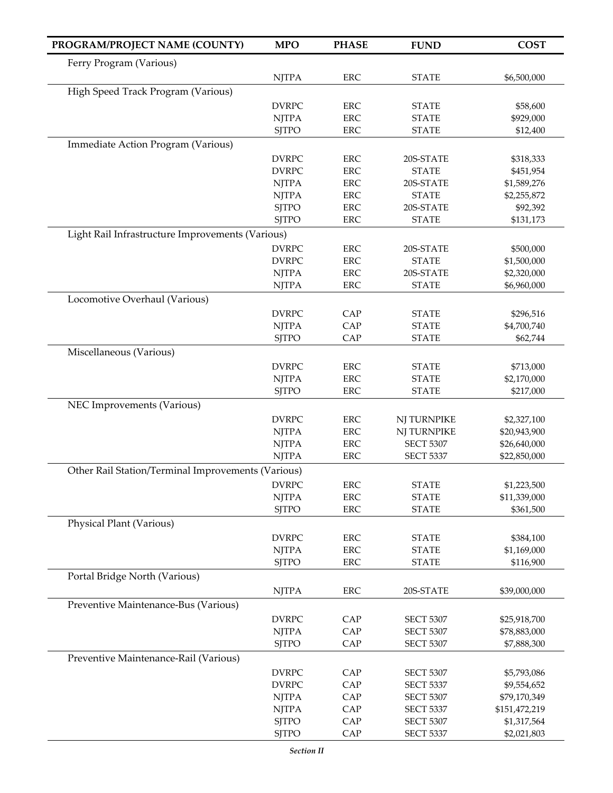| Ferry Program (Various)                                                            |                             |
|------------------------------------------------------------------------------------|-----------------------------|
|                                                                                    |                             |
| ERC<br><b>NJTPA</b><br><b>STATE</b>                                                | \$6,500,000                 |
| High Speed Track Program (Various)                                                 |                             |
| <b>DVRPC</b><br><b>ERC</b><br><b>STATE</b>                                         | \$58,600                    |
| <b>NJTPA</b><br><b>STATE</b><br><b>ERC</b>                                         | \$929,000                   |
| <b>SJTPO</b><br><b>ERC</b><br><b>STATE</b>                                         | \$12,400                    |
| Immediate Action Program (Various)                                                 |                             |
| <b>DVRPC</b><br>ERC<br>20S-STATE                                                   | \$318,333                   |
| <b>DVRPC</b><br><b>ERC</b><br><b>STATE</b>                                         | \$451,954                   |
| <b>NJTPA</b><br>ERC<br>20S-STATE                                                   | \$1,589,276                 |
| <b>NJTPA</b><br>ERC<br><b>STATE</b>                                                | \$2,255,872                 |
| <b>SJTPO</b><br>ERC<br>20S-STATE                                                   | \$92,392                    |
| <b>SJTPO</b><br>ERC<br><b>STATE</b>                                                | \$131,173                   |
| Light Rail Infrastructure Improvements (Various)                                   |                             |
| <b>DVRPC</b><br><b>ERC</b><br>20S-STATE                                            | \$500,000                   |
| <b>DVRPC</b><br><b>ERC</b><br><b>STATE</b>                                         | \$1,500,000                 |
| <b>NJTPA</b><br><b>ERC</b><br>20S-STATE                                            | \$2,320,000                 |
| <b>NJTPA</b><br><b>ERC</b><br><b>STATE</b>                                         | \$6,960,000                 |
| Locomotive Overhaul (Various)                                                      |                             |
| <b>DVRPC</b><br>CAP<br><b>STATE</b>                                                | \$296,516                   |
| <b>NJTPA</b><br>CAP<br><b>STATE</b>                                                | \$4,700,740                 |
| CAP<br><b>SJTPO</b><br><b>STATE</b>                                                | \$62,744                    |
| Miscellaneous (Various)                                                            |                             |
| <b>DVRPC</b><br><b>ERC</b><br><b>STATE</b>                                         | \$713,000                   |
| <b>NJTPA</b><br><b>ERC</b><br><b>STATE</b>                                         | \$2,170,000                 |
| <b>SJTPO</b><br><b>ERC</b><br><b>STATE</b>                                         | \$217,000                   |
| NEC Improvements (Various)                                                         |                             |
| <b>DVRPC</b><br><b>ERC</b><br>NJ TURNPIKE                                          | \$2,327,100                 |
| <b>NJTPA</b><br><b>ERC</b><br>NJ TURNPIKE                                          | \$20,943,900                |
| <b>NJTPA</b><br><b>ERC</b><br><b>SECT 5307</b>                                     | \$26,640,000                |
| <b>NJTPA</b><br><b>ERC</b><br><b>SECT 5337</b>                                     | \$22,850,000                |
| Other Rail Station/Terminal Improvements (Various)                                 |                             |
| <b>DVRPC</b><br>ERC<br><b>STATE</b>                                                | \$1,223,500                 |
| <b>NJTPA</b><br>ERC<br><b>STATE</b>                                                | \$11,339,000                |
| <b>ERC</b><br><b>SJTPO</b><br><b>STATE</b>                                         | \$361,500                   |
| Physical Plant (Various)                                                           |                             |
| <b>DVRPC</b><br>ERC<br><b>STATE</b>                                                | \$384,100                   |
| <b>NJTPA</b><br>ERC<br><b>STATE</b><br><b>STATE</b>                                | \$1,169,000                 |
| <b>SJTPO</b><br>ERC<br>Portal Bridge North (Various)                               | \$116,900                   |
|                                                                                    |                             |
| <b>NJTPA</b><br><b>ERC</b><br>20S-STATE                                            | \$39,000,000                |
| Preventive Maintenance-Bus (Various)                                               |                             |
| <b>DVRPC</b><br>CAP<br><b>SECT 5307</b>                                            | \$25,918,700                |
| CAP<br><b>NJTPA</b><br><b>SECT 5307</b><br>CAP                                     | \$78,883,000                |
| <b>SECT 5307</b><br><b>SJTPO</b>                                                   | \$7,888,300                 |
| Preventive Maintenance-Rail (Various)                                              |                             |
| <b>DVRPC</b><br>CAP<br><b>SECT 5307</b><br>CAP<br><b>DVRPC</b><br><b>SECT 5337</b> | \$5,793,086                 |
| CAP<br><b>NJTPA</b><br><b>SECT 5307</b>                                            | \$9,554,652<br>\$79,170,349 |
| CAP<br><b>NJTPA</b><br><b>SECT 5337</b>                                            | \$151,472,219               |
| CAP<br><b>SJTPO</b><br><b>SECT 5307</b>                                            | \$1,317,564                 |
| CAP<br><b>SJTPO</b><br><b>SECT 5337</b>                                            | \$2,021,803                 |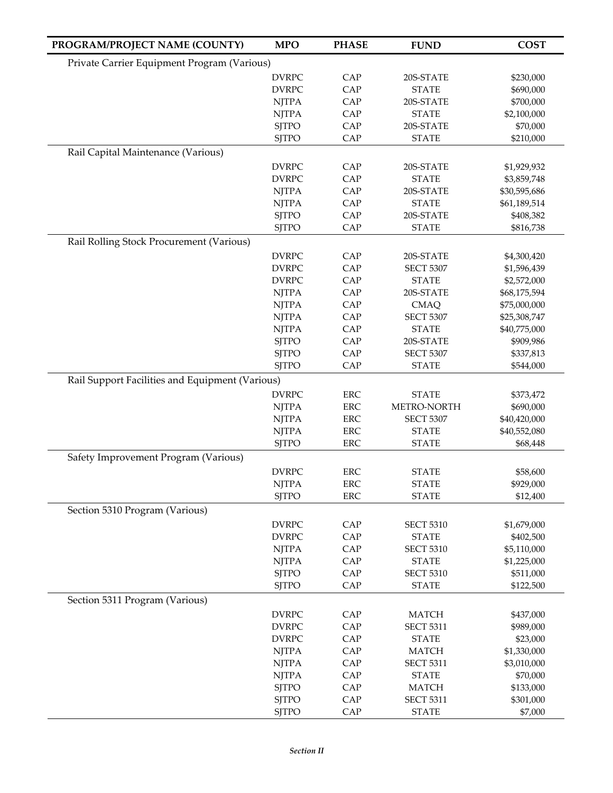| PROGRAM/PROJECT NAME (COUNTY)                   | <b>MPO</b>   | <b>PHASE</b> | <b>FUND</b>                      | <b>COST</b>  |  |
|-------------------------------------------------|--------------|--------------|----------------------------------|--------------|--|
| Private Carrier Equipment Program (Various)     |              |              |                                  |              |  |
|                                                 | <b>DVRPC</b> | CAP          | 20S-STATE                        | \$230,000    |  |
|                                                 | <b>DVRPC</b> | CAP          | <b>STATE</b>                     | \$690,000    |  |
|                                                 | <b>NJTPA</b> | CAP          | 20S-STATE                        | \$700,000    |  |
|                                                 | <b>NJTPA</b> | CAP          | <b>STATE</b>                     | \$2,100,000  |  |
|                                                 | <b>SJTPO</b> | CAP          | 20S-STATE                        | \$70,000     |  |
|                                                 | <b>SJTPO</b> | CAP          | <b>STATE</b>                     | \$210,000    |  |
| Rail Capital Maintenance (Various)              |              |              |                                  |              |  |
|                                                 | <b>DVRPC</b> | CAP          | 20S-STATE                        | \$1,929,932  |  |
|                                                 | <b>DVRPC</b> | CAP          | <b>STATE</b>                     | \$3,859,748  |  |
|                                                 | <b>NJTPA</b> | CAP          | 20S-STATE                        | \$30,595,686 |  |
|                                                 | <b>NJTPA</b> | CAP          | <b>STATE</b>                     | \$61,189,514 |  |
|                                                 | <b>SJTPO</b> | CAP          | 20S-STATE                        | \$408,382    |  |
|                                                 | <b>SJTPO</b> | CAP          | <b>STATE</b>                     | \$816,738    |  |
| Rail Rolling Stock Procurement (Various)        |              |              |                                  |              |  |
|                                                 |              |              |                                  |              |  |
|                                                 | <b>DVRPC</b> | CAP          | 20S-STATE                        | \$4,300,420  |  |
|                                                 | <b>DVRPC</b> | CAP          | <b>SECT 5307</b>                 | \$1,596,439  |  |
|                                                 | <b>DVRPC</b> | CAP          | <b>STATE</b>                     | \$2,572,000  |  |
|                                                 | <b>NJTPA</b> | CAP          | 20S-STATE                        | \$68,175,594 |  |
|                                                 | <b>NJTPA</b> | CAP          | <b>CMAQ</b>                      | \$75,000,000 |  |
|                                                 | <b>NJTPA</b> | CAP          | <b>SECT 5307</b>                 | \$25,308,747 |  |
|                                                 | <b>NJTPA</b> | CAP<br>CAP   | <b>STATE</b>                     | \$40,775,000 |  |
|                                                 | <b>SJTPO</b> | CAP          | 20S-STATE                        | \$909,986    |  |
|                                                 | <b>SJTPO</b> | CAP          | <b>SECT 5307</b><br><b>STATE</b> | \$337,813    |  |
|                                                 | <b>SJTPO</b> |              |                                  | \$544,000    |  |
| Rail Support Facilities and Equipment (Various) |              |              |                                  |              |  |
|                                                 | <b>DVRPC</b> | <b>ERC</b>   | <b>STATE</b>                     | \$373,472    |  |
|                                                 | <b>NJTPA</b> | <b>ERC</b>   | METRO-NORTH                      | \$690,000    |  |
|                                                 | <b>NJTPA</b> | <b>ERC</b>   | <b>SECT 5307</b>                 | \$40,420,000 |  |
|                                                 | <b>NJTPA</b> | <b>ERC</b>   | <b>STATE</b>                     | \$40,552,080 |  |
|                                                 | <b>SJTPO</b> | <b>ERC</b>   | <b>STATE</b>                     | \$68,448     |  |
| Safety Improvement Program (Various)            |              |              |                                  |              |  |
|                                                 | <b>DVRPC</b> | <b>ERC</b>   | <b>STATE</b>                     | \$58,600     |  |
|                                                 | <b>NITPA</b> | <b>ERC</b>   | <b>STATE</b>                     | \$929,000    |  |
|                                                 | <b>SJTPO</b> | <b>ERC</b>   | <b>STATE</b>                     | \$12,400     |  |
| Section 5310 Program (Various)                  |              |              |                                  |              |  |
|                                                 | <b>DVRPC</b> | CAP          | <b>SECT 5310</b>                 | \$1,679,000  |  |
|                                                 | <b>DVRPC</b> | CAP          | <b>STATE</b>                     | \$402,500    |  |
|                                                 | <b>NJTPA</b> | CAP          | <b>SECT 5310</b>                 | \$5,110,000  |  |
|                                                 | <b>NJTPA</b> | CAP          | <b>STATE</b>                     | \$1,225,000  |  |
|                                                 | <b>SJTPO</b> | CAP          | <b>SECT 5310</b>                 | \$511,000    |  |
|                                                 | <b>SJTPO</b> | CAP          | <b>STATE</b>                     | \$122,500    |  |
| Section 5311 Program (Various)                  |              |              |                                  |              |  |
|                                                 | <b>DVRPC</b> | CAP          | <b>MATCH</b>                     | \$437,000    |  |
|                                                 | <b>DVRPC</b> | CAP          | <b>SECT 5311</b>                 | \$989,000    |  |
|                                                 | <b>DVRPC</b> | CAP          | <b>STATE</b>                     | \$23,000     |  |
|                                                 | <b>NJTPA</b> | CAP          | <b>MATCH</b>                     | \$1,330,000  |  |
|                                                 | <b>NJTPA</b> | CAP          | <b>SECT 5311</b>                 | \$3,010,000  |  |
|                                                 | <b>NJTPA</b> | CAP          | <b>STATE</b>                     | \$70,000     |  |
|                                                 | <b>SJTPO</b> | CAP          | <b>MATCH</b>                     | \$133,000    |  |
|                                                 | <b>SJTPO</b> | CAP          | <b>SECT 5311</b>                 | \$301,000    |  |
|                                                 | <b>SJTPO</b> | CAP          | <b>STATE</b>                     | \$7,000      |  |